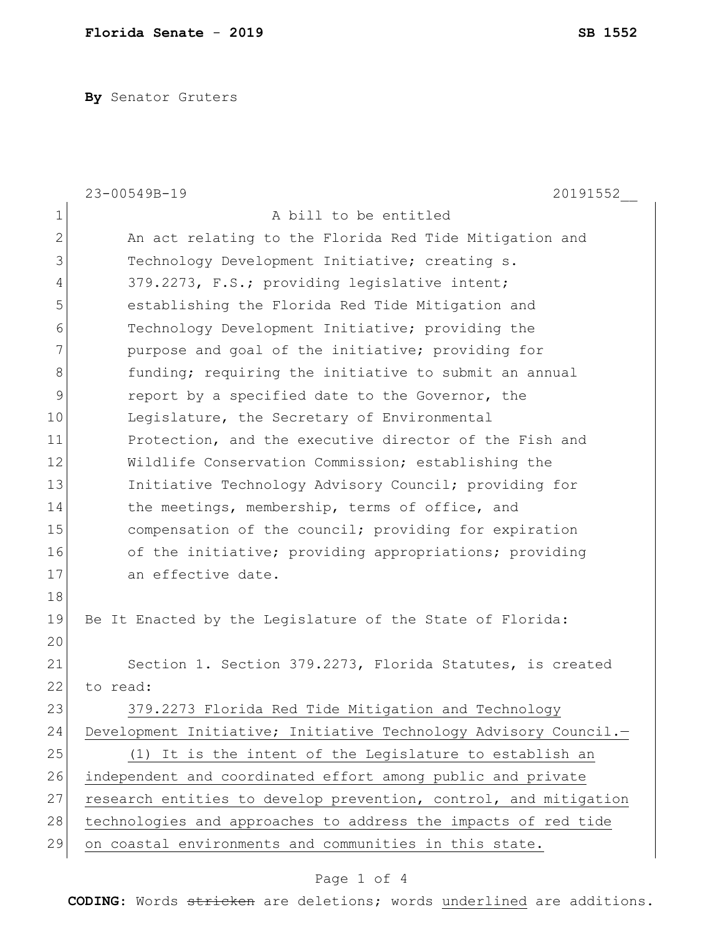**By** Senator Gruters

|                | 23-00549B-19<br>20191552                                         |
|----------------|------------------------------------------------------------------|
| 1              | A bill to be entitled                                            |
| $\overline{2}$ | An act relating to the Florida Red Tide Mitigation and           |
| 3              | Technology Development Initiative; creating s.                   |
| 4              | 379.2273, F.S.; providing legislative intent;                    |
| 5              | establishing the Florida Red Tide Mitigation and                 |
| 6              | Technology Development Initiative; providing the                 |
| 7              | purpose and goal of the initiative; providing for                |
| 8              | funding; requiring the initiative to submit an annual            |
| 9              | report by a specified date to the Governor, the                  |
| 10             | Legislature, the Secretary of Environmental                      |
| 11             | Protection, and the executive director of the Fish and           |
| 12             | Wildlife Conservation Commission; establishing the               |
| 13             | Initiative Technology Advisory Council; providing for            |
| 14             | the meetings, membership, terms of office, and                   |
| 15             | compensation of the council; providing for expiration            |
| 16             | of the initiative; providing appropriations; providing           |
| 17             | an effective date.                                               |
| 18             |                                                                  |
| 19             | Be It Enacted by the Legislature of the State of Florida:        |
| 20             |                                                                  |
| 21             | Section 1. Section 379.2273, Florida Statutes, is created        |
| 22             | to read:                                                         |
| 23             | 379.2273 Florida Red Tide Mitigation and Technology              |
| 24             | Development Initiative; Initiative Technology Advisory Council.- |
| 25             | (1) It is the intent of the Legislature to establish an          |
| 26             | independent and coordinated effort among public and private      |
| 27             | research entities to develop prevention, control, and mitigation |
| 28             | technologies and approaches to address the impacts of red tide   |
| 29             | on coastal environments and communities in this state.           |

## Page 1 of 4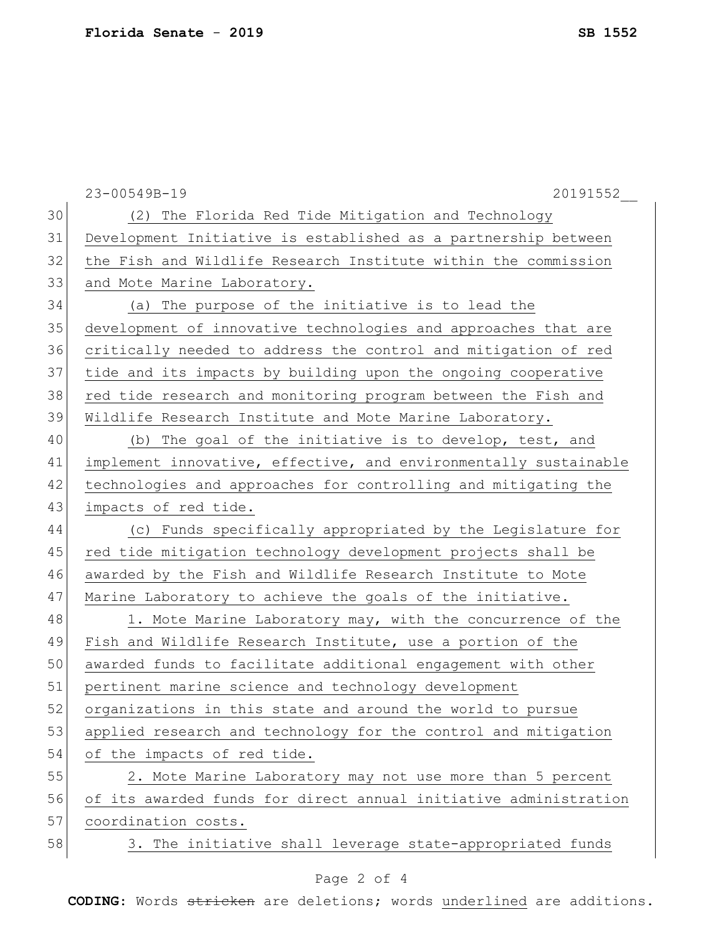|    | 23-00549B-19<br>20191552                                         |
|----|------------------------------------------------------------------|
| 30 | (2) The Florida Red Tide Mitigation and Technology               |
| 31 | Development Initiative is established as a partnership between   |
| 32 | the Fish and Wildlife Research Institute within the commission   |
| 33 | and Mote Marine Laboratory.                                      |
| 34 | (a) The purpose of the initiative is to lead the                 |
| 35 | development of innovative technologies and approaches that are   |
| 36 | critically needed to address the control and mitigation of red   |
| 37 | tide and its impacts by building upon the ongoing cooperative    |
| 38 | red tide research and monitoring program between the Fish and    |
| 39 | Wildlife Research Institute and Mote Marine Laboratory.          |
| 40 | (b) The goal of the initiative is to develop, test, and          |
| 41 | implement innovative, effective, and environmentally sustainable |
| 42 | technologies and approaches for controlling and mitigating the   |
| 43 | impacts of red tide.                                             |
| 44 | (c) Funds specifically appropriated by the Legislature for       |
| 45 | red tide mitigation technology development projects shall be     |
| 46 | awarded by the Fish and Wildlife Research Institute to Mote      |
| 47 | Marine Laboratory to achieve the goals of the initiative.        |
| 48 | 1. Mote Marine Laboratory may, with the concurrence of the       |
| 49 | Fish and Wildlife Research Institute, use a portion of the       |
| 50 | awarded funds to facilitate additional engagement with other     |
| 51 | pertinent marine science and technology development              |
| 52 | organizations in this state and around the world to pursue       |
| 53 | applied research and technology for the control and mitigation   |
| 54 | of the impacts of red tide.                                      |
| 55 | 2. Mote Marine Laboratory may not use more than 5 percent        |
| 56 | of its awarded funds for direct annual initiative administration |
| 57 | coordination costs.                                              |
| 58 | 3. The initiative shall leverage state-appropriated funds        |
|    |                                                                  |

## Page 2 of 4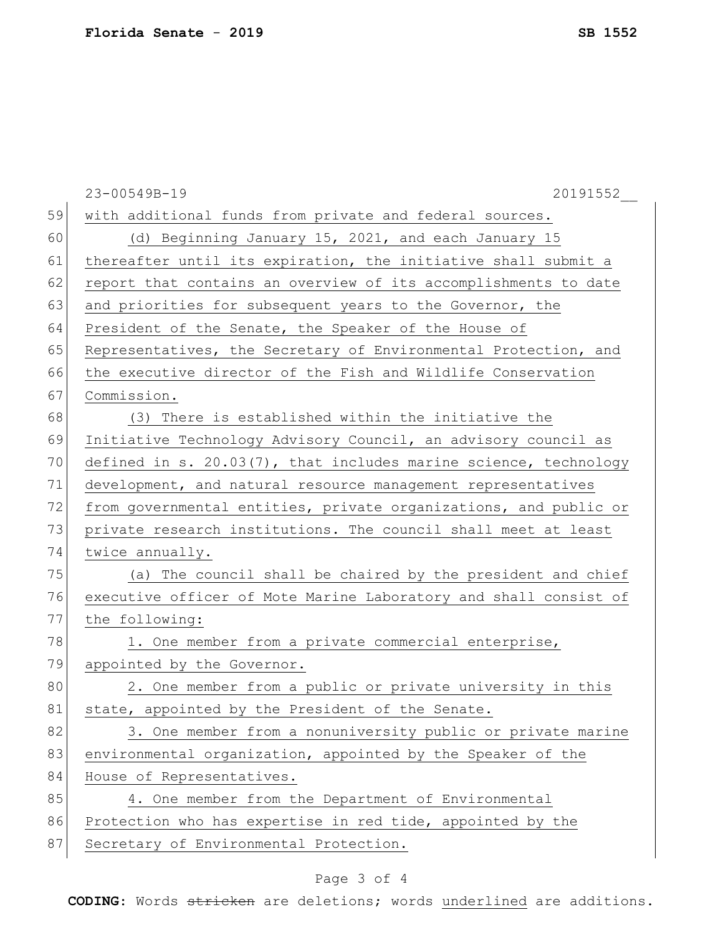|    | 23-00549B-19<br>20191552                                            |
|----|---------------------------------------------------------------------|
| 59 | with additional funds from private and federal sources.             |
| 60 | (d) Beginning January 15, 2021, and each January 15                 |
| 61 | thereafter until its expiration, the initiative shall submit a      |
| 62 | report that contains an overview of its accomplishments to date     |
| 63 | and priorities for subsequent years to the Governor, the            |
| 64 | President of the Senate, the Speaker of the House of                |
| 65 | Representatives, the Secretary of Environmental Protection, and     |
| 66 | the executive director of the Fish and Wildlife Conservation        |
| 67 | Commission.                                                         |
| 68 | (3) There is established within the initiative the                  |
| 69 | Initiative Technology Advisory Council, an advisory council as      |
| 70 | defined in s. $20.03(7)$ , that includes marine science, technology |
| 71 | development, and natural resource management representatives        |
| 72 | from governmental entities, private organizations, and public or    |
| 73 | private research institutions. The council shall meet at least      |
| 74 | twice annually.                                                     |
| 75 | (a) The council shall be chaired by the president and chief         |
| 76 | executive officer of Mote Marine Laboratory and shall consist of    |
| 77 | the following:                                                      |
| 78 | 1. One member from a private commercial enterprise,                 |
| 79 | appointed by the Governor.                                          |
| 80 | 2. One member from a public or private university in this           |
| 81 | state, appointed by the President of the Senate.                    |
| 82 | 3. One member from a nonuniversity public or private marine         |
| 83 | environmental organization, appointed by the Speaker of the         |
| 84 | House of Representatives.                                           |
| 85 | 4. One member from the Department of Environmental                  |
| 86 | Protection who has expertise in red tide, appointed by the          |
| 87 | Secretary of Environmental Protection.                              |

## Page 3 of 4